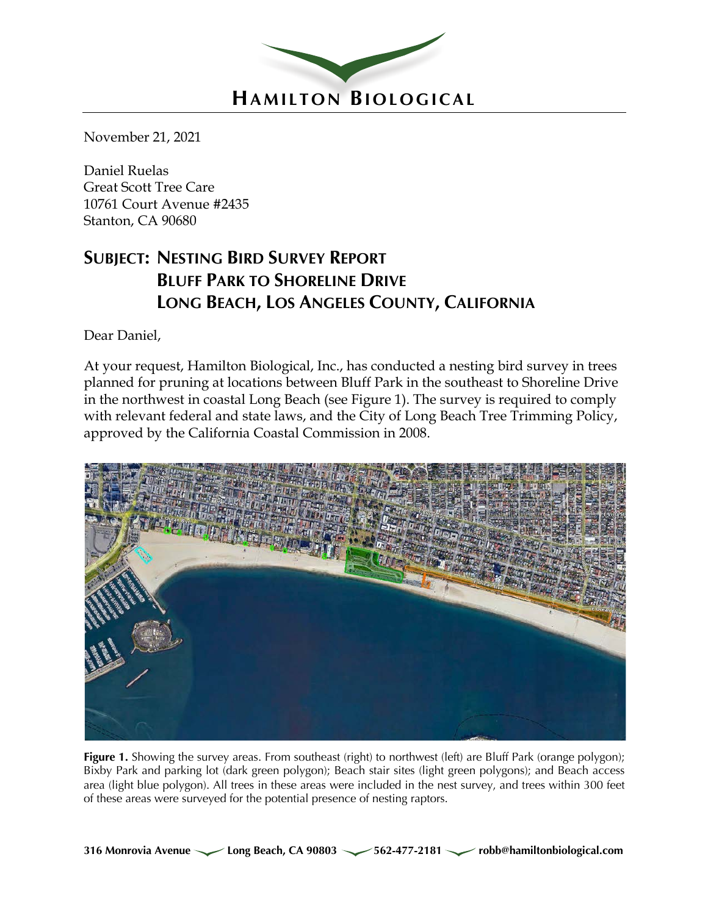

November 21, 2021

Daniel Ruelas Great Scott Tree Care 10761 Court Avenue #2435 Stanton, CA 90680

# **SUBJECT: NESTING BIRD SURVEY REPORT BLUFF PARK TO SHORELINE DRIVE LONG BEACH, LOS ANGELES COUNTY, CALIFORNIA**

Dear Daniel,

At your request, Hamilton Biological, Inc., has conducted a nesting bird survey in trees planned for pruning at locations between Bluff Park in the southeast to Shoreline Drive in the northwest in coastal Long Beach (see Figure 1). The survey is required to comply with relevant federal and state laws, and the City of Long Beach Tree Trimming Policy, approved by the California Coastal Commission in 2008.



**Figure 1.** Showing the survey areas. From southeast (right) to northwest (left) are Bluff Park (orange polygon); Bixby Park and parking lot (dark green polygon); Beach stair sites (light green polygons); and Beach access area (light blue polygon). All trees in these areas were included in the nest survey, and trees within 300 feet of these areas were surveyed for the potential presence of nesting raptors.

**316 Monrovia Avenue Long Beach, CA 90803 562-477-2181 robb@hamiltonbiological.com**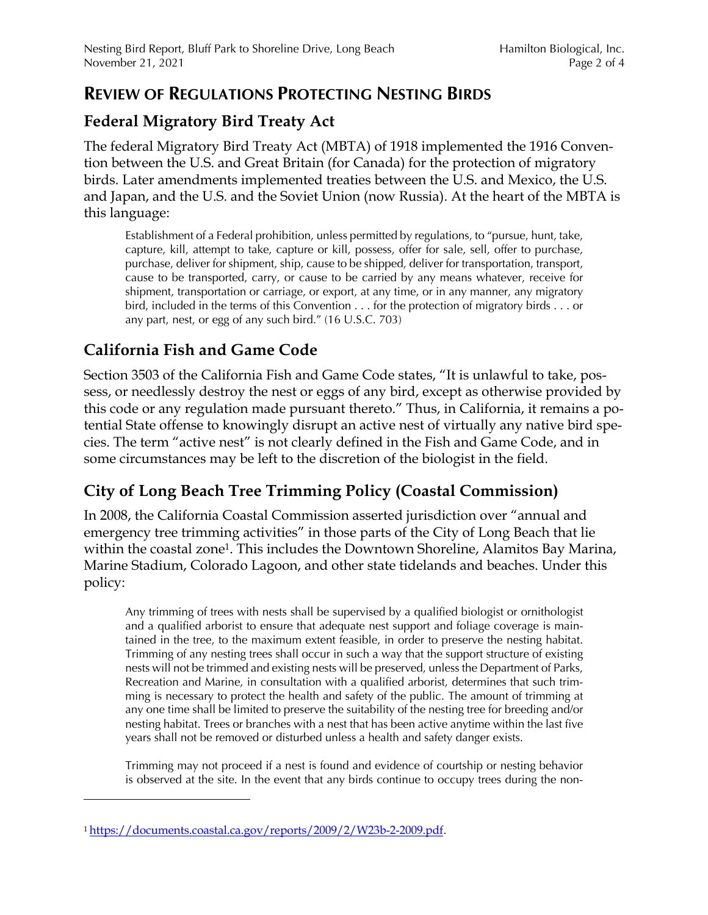### **REVIEW OF REGULATIONS PROTECTING NESTING BIRDS**

### **Federal Migratory Bird Treaty Act**

The federal Migratory Bird Treaty Act (MBTA) of 1918 implemented the 1916 Convention between the U.S. and Great Britain (for Canada) for the protection of migratory birds. Later amendments implemented treaties between the U.S. and Mexico, the U.S. and Japan, and the U.S. and the Soviet Union (now Russia). At the heart of the MBTA is this language:

Establishment of a Federal prohibition, unless permitted by regulations, to "pursue, hunt, take, capture, kill, attempt to take, capture or kill, possess, offer for sale, sell, offer to purchase, purchase, deliver for shipment, ship, cause to be shipped, deliver for transportation, transport, cause to be transported, carry, or cause to be carried by any means whatever, receive for shipment, transportation or carriage, or export, at any time, or in any manner, any migratory bird, included in the terms of this Convention . . . for the protection of migratory birds . . . or any part, nest, or egg of any such bird." (16 U.S.C. 703)

### **California Fish and Game Code**

Section 3503 of the California Fish and Game Code states, "It is unlawful to take, possess, or needlessly destroy the nest or eggs of any bird, except as otherwise provided by this code or any regulation made pursuant thereto." Thus, in California, it remains a potential State offense to knowingly disrupt an active nest of virtually any native bird species. The term "active nest" is not clearly defined in the Fish and Game Code, and in some circumstances may be left to the discretion of the biologist in the field.

### **City of Long Beach Tree Trimming Policy (Coastal Commission)**

In 2008, the California Coastal Commission asserted jurisdiction over "annual and emergency tree trimming activities" in those parts of the City of Long Beach that lie within the coastal zone<sup>1</sup>. This includes the Downtown Shoreline, Alamitos Bay Marina, Marine Stadium, Colorado Lagoon, and other state tidelands and beaches. Under this policy:

Any trimming of trees with nests shall be supervised by a qualified biologist or ornithologist and a qualified arborist to ensure that adequate nest support and foliage coverage is maintained in the tree, to the maximum extent feasible, in order to preserve the nesting habitat. Trimming of any nesting trees shall occur in such a way that the support structure of existing nests will not be trimmed and existing nests will be preserved, unless the Department of Parks, Recreation and Marine, in consultation with a qualified arborist, determines that such trimming is necessary to protect the health and safety of the public. The amount of trimming at any one time shall be limited to preserve the suitability of the nesting tree for breeding and/or nesting habitat. Trees or branches with a nest that has been active anytime within the last five years shall not be removed or disturbed unless a health and safety danger exists.

Trimming may not proceed if a nest is found and evidence of courtship or nesting behavior is observed at the site. In the event that any birds continue to occupy trees during the non-

<sup>1</sup> https://documents.coastal.ca.gov/reports/2009/2/W23b-2-2009.pdf.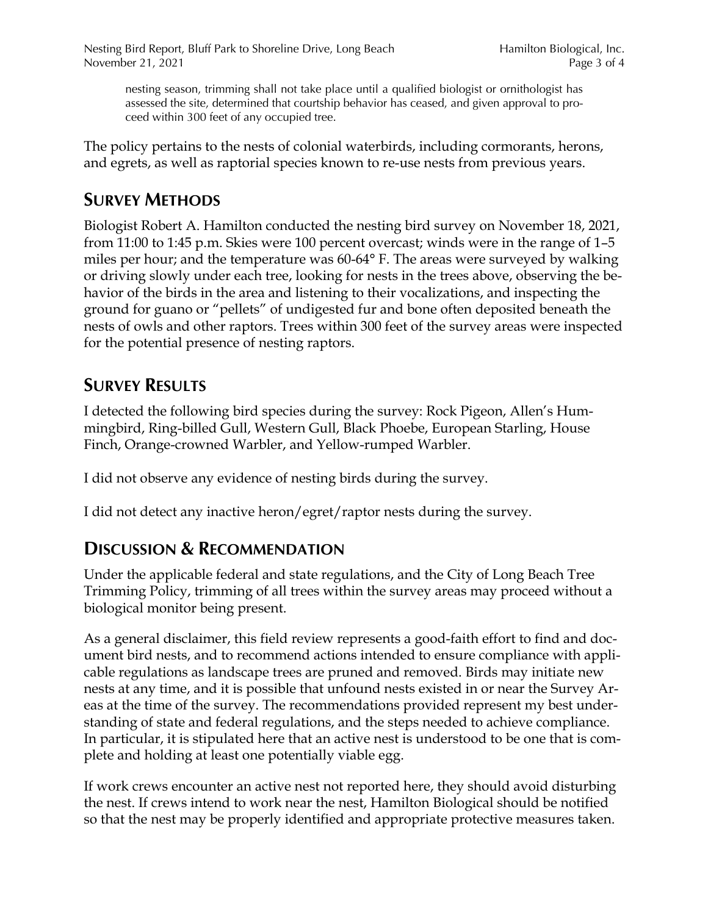nesting season, trimming shall not take place until a qualified biologist or ornithologist has assessed the site, determined that courtship behavior has ceased, and given approval to proceed within 300 feet of any occupied tree.

The policy pertains to the nests of colonial waterbirds, including cormorants, herons, and egrets, as well as raptorial species known to re-use nests from previous years.

## **SURVEY METHODS**

Biologist Robert A. Hamilton conducted the nesting bird survey on November 18, 2021, from 11:00 to 1:45 p.m. Skies were 100 percent overcast; winds were in the range of 1–5 miles per hour; and the temperature was 60-64° F. The areas were surveyed by walking or driving slowly under each tree, looking for nests in the trees above, observing the behavior of the birds in the area and listening to their vocalizations, and inspecting the ground for guano or "pellets" of undigested fur and bone often deposited beneath the nests of owls and other raptors. Trees within 300 feet of the survey areas were inspected for the potential presence of nesting raptors.

# **SURVEY RESULTS**

I detected the following bird species during the survey: Rock Pigeon, Allen's Hummingbird, Ring-billed Gull, Western Gull, Black Phoebe, European Starling, House Finch, Orange-crowned Warbler, and Yellow-rumped Warbler.

I did not observe any evidence of nesting birds during the survey.

I did not detect any inactive heron/egret/raptor nests during the survey.

# **DISCUSSION & RECOMMENDATION**

Under the applicable federal and state regulations, and the City of Long Beach Tree Trimming Policy, trimming of all trees within the survey areas may proceed without a biological monitor being present.

As a general disclaimer, this field review represents a good-faith effort to find and document bird nests, and to recommend actions intended to ensure compliance with applicable regulations as landscape trees are pruned and removed. Birds may initiate new nests at any time, and it is possible that unfound nests existed in or near the Survey Areas at the time of the survey. The recommendations provided represent my best understanding of state and federal regulations, and the steps needed to achieve compliance. In particular, it is stipulated here that an active nest is understood to be one that is complete and holding at least one potentially viable egg.

If work crews encounter an active nest not reported here, they should avoid disturbing the nest. If crews intend to work near the nest, Hamilton Biological should be notified so that the nest may be properly identified and appropriate protective measures taken.